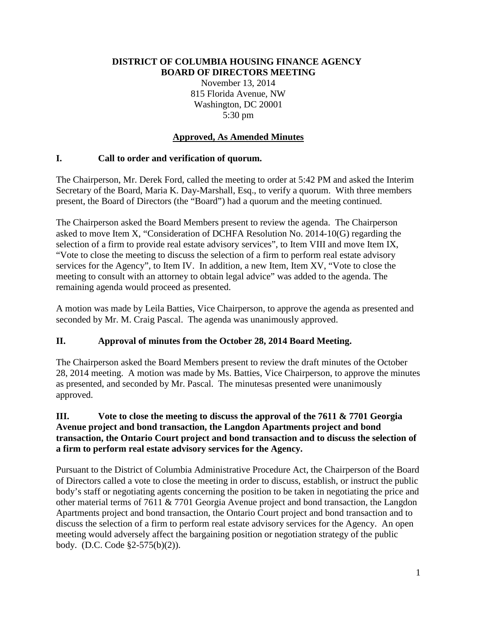### **DISTRICT OF COLUMBIA HOUSING FINANCE AGENCY BOARD OF DIRECTORS MEETING**

November 13, 2014 815 Florida Avenue, NW Washington, DC 20001 5:30 pm

# **Approved, As Amended Minutes**

## **I. Call to order and verification of quorum.**

The Chairperson, Mr. Derek Ford, called the meeting to order at 5:42 PM and asked the Interim Secretary of the Board, Maria K. Day-Marshall, Esq., to verify a quorum. With three members present, the Board of Directors (the "Board") had a quorum and the meeting continued.

The Chairperson asked the Board Members present to review the agenda. The Chairperson asked to move Item X, "Consideration of DCHFA Resolution No. 2014-10(G) regarding the selection of a firm to provide real estate advisory services", to Item VIII and move Item IX, "Vote to close the meeting to discuss the selection of a firm to perform real estate advisory services for the Agency", to Item IV. In addition, a new Item, Item XV, "Vote to close the meeting to consult with an attorney to obtain legal advice" was added to the agenda. The remaining agenda would proceed as presented.

A motion was made by Leila Batties, Vice Chairperson, to approve the agenda as presented and seconded by Mr. M. Craig Pascal. The agenda was unanimously approved.

## **II. Approval of minutes from the October 28, 2014 Board Meeting.**

The Chairperson asked the Board Members present to review the draft minutes of the October 28, 2014 meeting. A motion was made by Ms. Batties, Vice Chairperson, to approve the minutes as presented, and seconded by Mr. Pascal. The minutesas presented were unanimously approved.

### **III. Vote to close the meeting to discuss the approval of the 7611 & 7701 Georgia Avenue project and bond transaction, the Langdon Apartments project and bond transaction, the Ontario Court project and bond transaction and to discuss the selection of a firm to perform real estate advisory services for the Agency.**

Pursuant to the District of Columbia Administrative Procedure Act, the Chairperson of the Board of Directors called a vote to close the meeting in order to discuss, establish, or instruct the public body's staff or negotiating agents concerning the position to be taken in negotiating the price and other material terms of 7611 & 7701 Georgia Avenue project and bond transaction, the Langdon Apartments project and bond transaction, the Ontario Court project and bond transaction and to discuss the selection of a firm to perform real estate advisory services for the Agency. An open meeting would adversely affect the bargaining position or negotiation strategy of the public body. (D.C. Code §2-575(b)(2)).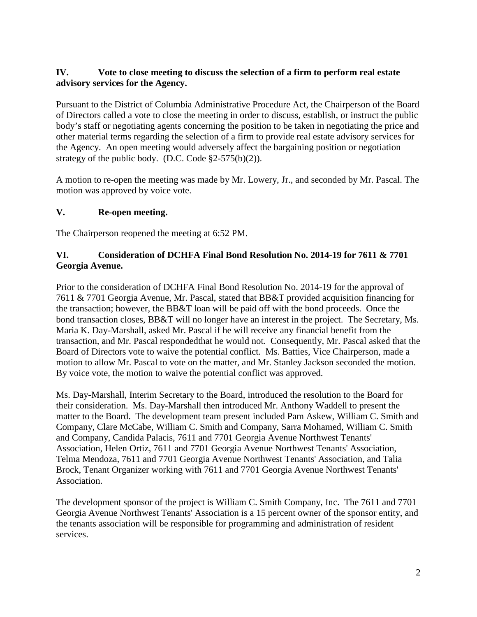### **IV. Vote to close meeting to discuss the selection of a firm to perform real estate advisory services for the Agency.**

Pursuant to the District of Columbia Administrative Procedure Act, the Chairperson of the Board of Directors called a vote to close the meeting in order to discuss, establish, or instruct the public body's staff or negotiating agents concerning the position to be taken in negotiating the price and other material terms regarding the selection of a firm to provide real estate advisory services for the Agency. An open meeting would adversely affect the bargaining position or negotiation strategy of the public body. (D.C. Code §2-575(b)(2)).

A motion to re-open the meeting was made by Mr. Lowery, Jr., and seconded by Mr. Pascal. The motion was approved by voice vote.

### **V. Re-open meeting.**

The Chairperson reopened the meeting at 6:52 PM.

### **VI. Consideration of DCHFA Final Bond Resolution No. 2014-19 for 7611 & 7701 Georgia Avenue.**

Prior to the consideration of DCHFA Final Bond Resolution No. 2014-19 for the approval of 7611 & 7701 Georgia Avenue, Mr. Pascal, stated that BB&T provided acquisition financing for the transaction; however, the BB&T loan will be paid off with the bond proceeds. Once the bond transaction closes, BB&T will no longer have an interest in the project. The Secretary, Ms. Maria K. Day-Marshall, asked Mr. Pascal if he will receive any financial benefit from the transaction, and Mr. Pascal respondedthat he would not. Consequently, Mr. Pascal asked that the Board of Directors vote to waive the potential conflict. Ms. Batties, Vice Chairperson, made a motion to allow Mr. Pascal to vote on the matter, and Mr. Stanley Jackson seconded the motion. By voice vote, the motion to waive the potential conflict was approved.

Ms. Day-Marshall, Interim Secretary to the Board, introduced the resolution to the Board for their consideration. Ms. Day-Marshall then introduced Mr. Anthony Waddell to present the matter to the Board. The development team present included Pam Askew, William C. Smith and Company, Clare McCabe, William C. Smith and Company, Sarra Mohamed, William C. Smith and Company, Candida Palacis, 7611 and 7701 Georgia Avenue Northwest Tenants' Association, Helen Ortiz, 7611 and 7701 Georgia Avenue Northwest Tenants' Association, Telma Mendoza, 7611 and 7701 Georgia Avenue Northwest Tenants' Association, and Talia Brock, Tenant Organizer working with 7611 and 7701 Georgia Avenue Northwest Tenants' Association.

The development sponsor of the project is William C. Smith Company, Inc. The 7611 and 7701 Georgia Avenue Northwest Tenants' Association is a 15 percent owner of the sponsor entity, and the tenants association will be responsible for programming and administration of resident services.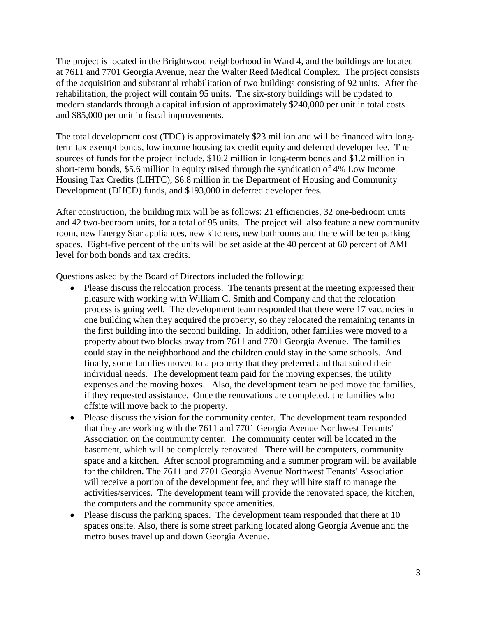The project is located in the Brightwood neighborhood in Ward 4, and the buildings are located at 7611 and 7701 Georgia Avenue, near the Walter Reed Medical Complex. The project consists of the acquisition and substantial rehabilitation of two buildings consisting of 92 units. After the rehabilitation, the project will contain 95 units. The six-story buildings will be updated to modern standards through a capital infusion of approximately \$240,000 per unit in total costs and \$85,000 per unit in fiscal improvements.

The total development cost (TDC) is approximately \$23 million and will be financed with longterm tax exempt bonds, low income housing tax credit equity and deferred developer fee. The sources of funds for the project include, \$10.2 million in long-term bonds and \$1.2 million in short-term bonds, \$5.6 million in equity raised through the syndication of 4% Low Income Housing Tax Credits (LIHTC), \$6.8 million in the Department of Housing and Community Development (DHCD) funds, and \$193,000 in deferred developer fees.

After construction, the building mix will be as follows: 21 efficiencies, 32 one-bedroom units and 42 two-bedroom units, for a total of 95 units. The project will also feature a new community room, new Energy Star appliances, new kitchens, new bathrooms and there will be ten parking spaces. Eight-five percent of the units will be set aside at the 40 percent at 60 percent of AMI level for both bonds and tax credits.

Questions asked by the Board of Directors included the following:

- Please discuss the relocation process. The tenants present at the meeting expressed their pleasure with working with William C. Smith and Company and that the relocation process is going well. The development team responded that there were 17 vacancies in one building when they acquired the property, so they relocated the remaining tenants in the first building into the second building. In addition, other families were moved to a property about two blocks away from 7611 and 7701 Georgia Avenue. The families could stay in the neighborhood and the children could stay in the same schools. And finally, some families moved to a property that they preferred and that suited their individual needs. The development team paid for the moving expenses, the utility expenses and the moving boxes. Also, the development team helped move the families, if they requested assistance. Once the renovations are completed, the families who offsite will move back to the property.
- Please discuss the vision for the community center. The development team responded that they are working with the 7611 and 7701 Georgia Avenue Northwest Tenants' Association on the community center. The community center will be located in the basement, which will be completely renovated. There will be computers, community space and a kitchen. After school programming and a summer program will be available for the children. The 7611 and 7701 Georgia Avenue Northwest Tenants' Association will receive a portion of the development fee, and they will hire staff to manage the activities/services. The development team will provide the renovated space, the kitchen, the computers and the community space amenities.
- Please discuss the parking spaces. The development team responded that there at 10 spaces onsite. Also, there is some street parking located along Georgia Avenue and the metro buses travel up and down Georgia Avenue.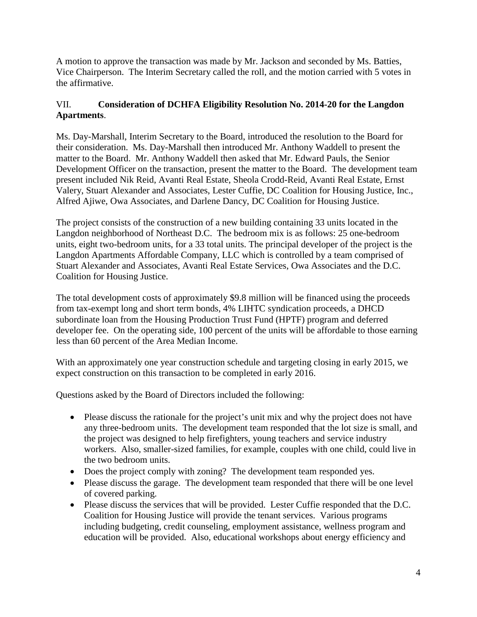A motion to approve the transaction was made by Mr. Jackson and seconded by Ms. Batties, Vice Chairperson. The Interim Secretary called the roll, and the motion carried with 5 votes in the affirmative.

## VII. **Consideration of DCHFA Eligibility Resolution No. 2014-20 for the Langdon Apartments**.

Ms. Day-Marshall, Interim Secretary to the Board, introduced the resolution to the Board for their consideration. Ms. Day-Marshall then introduced Mr. Anthony Waddell to present the matter to the Board. Mr. Anthony Waddell then asked that Mr. Edward Pauls, the Senior Development Officer on the transaction, present the matter to the Board. The development team present included Nik Reid, Avanti Real Estate, Sheola Crodd-Reid, Avanti Real Estate, Ernst Valery, Stuart Alexander and Associates, Lester Cuffie, DC Coalition for Housing Justice, Inc., Alfred Ajiwe, Owa Associates, and Darlene Dancy, DC Coalition for Housing Justice.

The project consists of the construction of a new building containing 33 units located in the Langdon neighborhood of Northeast D.C. The bedroom mix is as follows: 25 one-bedroom units, eight two-bedroom units, for a 33 total units. The principal developer of the project is the Langdon Apartments Affordable Company, LLC which is controlled by a team comprised of Stuart Alexander and Associates, Avanti Real Estate Services, Owa Associates and the D.C. Coalition for Housing Justice.

The total development costs of approximately \$9.8 million will be financed using the proceeds from tax-exempt long and short term bonds, 4% LIHTC syndication proceeds, a DHCD subordinate loan from the Housing Production Trust Fund (HPTF) program and deferred developer fee. On the operating side, 100 percent of the units will be affordable to those earning less than 60 percent of the Area Median Income.

With an approximately one year construction schedule and targeting closing in early 2015, we expect construction on this transaction to be completed in early 2016.

Questions asked by the Board of Directors included the following:

- Please discuss the rationale for the project's unit mix and why the project does not have any three-bedroom units. The development team responded that the lot size is small, and the project was designed to help firefighters, young teachers and service industry workers. Also, smaller-sized families, for example, couples with one child, could live in the two bedroom units.
- Does the project comply with zoning? The development team responded yes.
- Please discuss the garage. The development team responded that there will be one level of covered parking.
- Please discuss the services that will be provided. Lester Cuffie responded that the D.C. Coalition for Housing Justice will provide the tenant services. Various programs including budgeting, credit counseling, employment assistance, wellness program and education will be provided. Also, educational workshops about energy efficiency and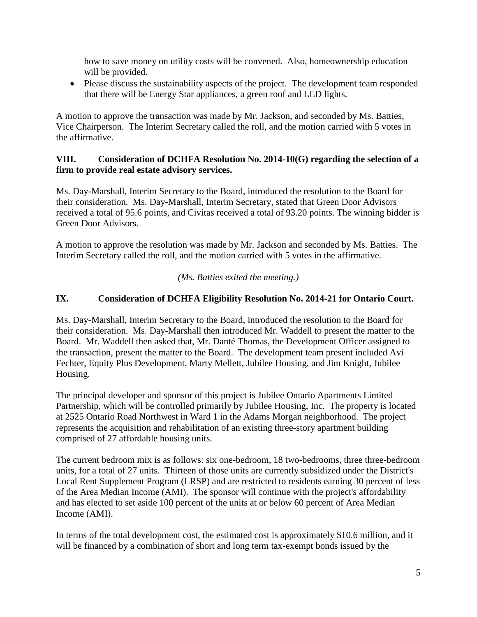how to save money on utility costs will be convened. Also, homeownership education will be provided.

• Please discuss the sustainability aspects of the project. The development team responded that there will be Energy Star appliances, a green roof and LED lights.

A motion to approve the transaction was made by Mr. Jackson, and seconded by Ms. Batties, Vice Chairperson. The Interim Secretary called the roll, and the motion carried with 5 votes in the affirmative.

### **VIII. Consideration of DCHFA Resolution No. 2014-10(G) regarding the selection of a firm to provide real estate advisory services.**

Ms. Day-Marshall, Interim Secretary to the Board, introduced the resolution to the Board for their consideration. Ms. Day-Marshall, Interim Secretary, stated that Green Door Advisors received a total of 95.6 points, and Civitas received a total of 93.20 points. The winning bidder is Green Door Advisors.

A motion to approve the resolution was made by Mr. Jackson and seconded by Ms. Batties. The Interim Secretary called the roll, and the motion carried with 5 votes in the affirmative.

*(Ms. Batties exited the meeting.)*

### **IX. Consideration of DCHFA Eligibility Resolution No. 2014-21 for Ontario Court.**

Ms. Day-Marshall, Interim Secretary to the Board, introduced the resolution to the Board for their consideration. Ms. Day-Marshall then introduced Mr. Waddell to present the matter to the Board. Mr. Waddell then asked that, Mr. Danté Thomas, the Development Officer assigned to the transaction, present the matter to the Board. The development team present included Avi Fechter, Equity Plus Development, Marty Mellett, Jubilee Housing, and Jim Knight, Jubilee Housing.

The principal developer and sponsor of this project is Jubilee Ontario Apartments Limited Partnership, which will be controlled primarily by Jubilee Housing, Inc. The property is located at 2525 Ontario Road Northwest in Ward 1 in the Adams Morgan neighborhood. The project represents the acquisition and rehabilitation of an existing three-story apartment building comprised of 27 affordable housing units.

The current bedroom mix is as follows: six one-bedroom, 18 two-bedrooms, three three-bedroom units, for a total of 27 units. Thirteen of those units are currently subsidized under the District's Local Rent Supplement Program (LRSP) and are restricted to residents earning 30 percent of less of the Area Median Income (AMI). The sponsor will continue with the project's affordability and has elected to set aside 100 percent of the units at or below 60 percent of Area Median Income (AMI).

In terms of the total development cost, the estimated cost is approximately \$10.6 million, and it will be financed by a combination of short and long term tax-exempt bonds issued by the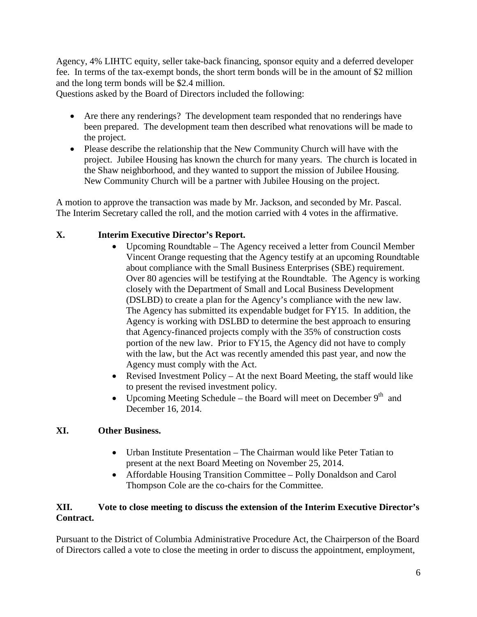Agency, 4% LIHTC equity, seller take-back financing, sponsor equity and a deferred developer fee. In terms of the tax-exempt bonds, the short term bonds will be in the amount of \$2 million and the long term bonds will be \$2.4 million.

Questions asked by the Board of Directors included the following:

- Are there any renderings? The development team responded that no renderings have been prepared. The development team then described what renovations will be made to the project.
- Please describe the relationship that the New Community Church will have with the project. Jubilee Housing has known the church for many years. The church is located in the Shaw neighborhood, and they wanted to support the mission of Jubilee Housing. New Community Church will be a partner with Jubilee Housing on the project.

A motion to approve the transaction was made by Mr. Jackson, and seconded by Mr. Pascal. The Interim Secretary called the roll, and the motion carried with 4 votes in the affirmative.

## **X. Interim Executive Director's Report.**

- Upcoming Roundtable The Agency received a letter from Council Member Vincent Orange requesting that the Agency testify at an upcoming Roundtable about compliance with the Small Business Enterprises (SBE) requirement. Over 80 agencies will be testifying at the Roundtable. The Agency is working closely with the Department of Small and Local Business Development (DSLBD) to create a plan for the Agency's compliance with the new law. The Agency has submitted its expendable budget for FY15. In addition, the Agency is working with DSLBD to determine the best approach to ensuring that Agency-financed projects comply with the 35% of construction costs portion of the new law. Prior to FY15, the Agency did not have to comply with the law, but the Act was recently amended this past year, and now the Agency must comply with the Act.
- Revised Investment Policy At the next Board Meeting, the staff would like to present the revised investment policy.
- Upcoming Meeting Schedule the Board will meet on December  $9<sup>th</sup>$  and December 16, 2014.

## **XI. Other Business.**

- Urban Institute Presentation The Chairman would like Peter Tatian to present at the next Board Meeting on November 25, 2014.
- Affordable Housing Transition Committee Polly Donaldson and Carol Thompson Cole are the co-chairs for the Committee.

### **XII. Vote to close meeting to discuss the extension of the Interim Executive Director's Contract.**

Pursuant to the District of Columbia Administrative Procedure Act, the Chairperson of the Board of Directors called a vote to close the meeting in order to discuss the appointment, employment,